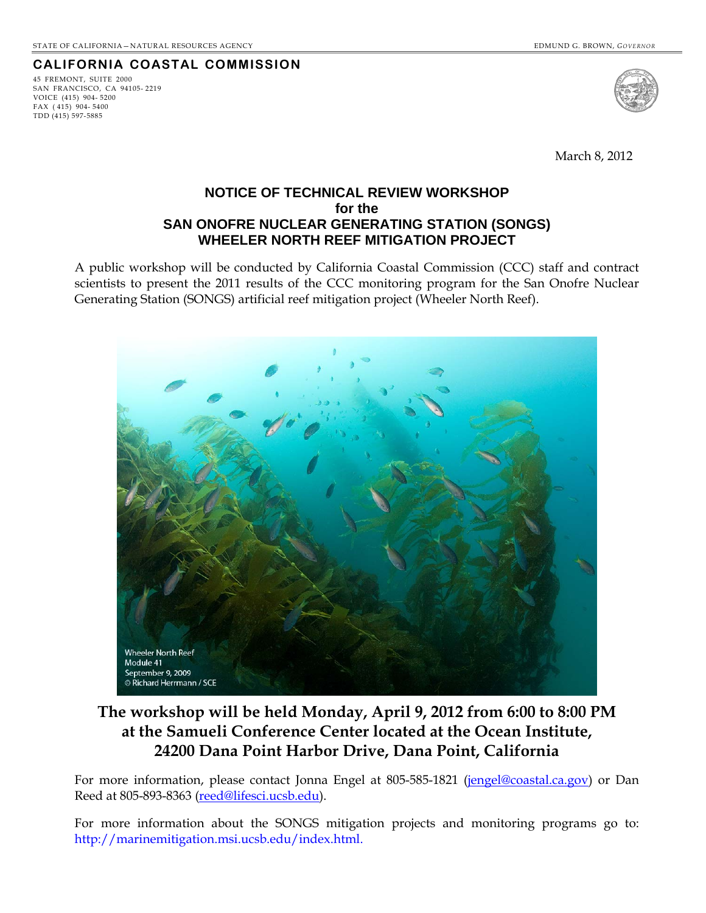## **CALIFORNIA COASTAL COMMISSION**

45 FREMONT, SUITE 2000 SAN FRANCISCO, CA 94105- 2219 VOICE (415) 904- 5200 FAX ( 415) 904- 5400 TDD (415) 597-5885



March 8, 2012

### **NOTICE OF TECHNICAL REVIEW WORKSHOP for the SAN ONOFRE NUCLEAR GENERATING STATION (SONGS) WHEELER NORTH REEF MITIGATION PROJECT**

A public workshop will be conducted by California Coastal Commission (CCC) staff and contract scientists to present the 2011 results of the CCC monitoring program for the San Onofre Nuclear Generating Station (SONGS) artificial reef mitigation project (Wheeler North Reef).



# **The workshop will be held Monday, April 9, 2012 from 6:00 to 8:00 PM at the Samueli Conference Center located at the Ocean Institute, 24200 Dana Point Harbor Drive, Dana Point, California**

For more information, please contact Jonna Engel at 805-585-1821 ([jengel@coastal.ca.gov\)](mailto:jengel@coastal.ca.gov) or Dan Reed at 805-893-8363 ([reed@lifesci.ucsb.edu\)](mailto:reed@lifesci.ucsb.edu).

For more information about the SONGS mitigation projects and monitoring programs go to: http://marinemitigation.msi.ucsb.edu/index.html.